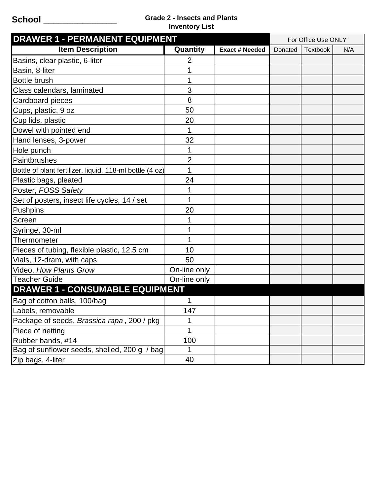## **School \_\_\_\_\_\_\_\_\_\_\_\_\_\_\_ Grade 2 - Insects and Plants Inventory List**

| <b>DRAWER 1 - PERMANENT EQUIPMENT</b>                    |                |                       | For Office Use ONLY |                 |     |
|----------------------------------------------------------|----------------|-----------------------|---------------------|-----------------|-----|
| <b>Item Description</b>                                  | Quantity       | <b>Exact # Needed</b> | Donated             | <b>Textbook</b> | N/A |
| Basins, clear plastic, 6-liter                           | $\overline{2}$ |                       |                     |                 |     |
| Basin, 8-liter                                           |                |                       |                     |                 |     |
| <b>Bottle brush</b>                                      |                |                       |                     |                 |     |
| Class calendars, laminated                               | 3              |                       |                     |                 |     |
| Cardboard pieces                                         | 8              |                       |                     |                 |     |
| Cups, plastic, 9 oz                                      | 50             |                       |                     |                 |     |
| Cup lids, plastic                                        | 20             |                       |                     |                 |     |
| Dowel with pointed end                                   | 1              |                       |                     |                 |     |
| Hand lenses, 3-power                                     | 32             |                       |                     |                 |     |
| Hole punch                                               | 1              |                       |                     |                 |     |
| Paintbrushes                                             | $\overline{2}$ |                       |                     |                 |     |
| Bottle of plant fertilizer, liquid, 118-ml bottle (4 oz) | 1              |                       |                     |                 |     |
| Plastic bags, pleated                                    | 24             |                       |                     |                 |     |
| Poster, FOSS Safety                                      |                |                       |                     |                 |     |
| Set of posters, insect life cycles, 14 / set             | 1              |                       |                     |                 |     |
| <b>Pushpins</b>                                          | 20             |                       |                     |                 |     |
| Screen                                                   |                |                       |                     |                 |     |
| Syringe, 30-ml                                           |                |                       |                     |                 |     |
| Thermometer                                              |                |                       |                     |                 |     |
| Pieces of tubing, flexible plastic, 12.5 cm              | 10             |                       |                     |                 |     |
| Vials, 12-dram, with caps                                | 50             |                       |                     |                 |     |
| Video, How Plants Grow                                   | On-line only   |                       |                     |                 |     |
| <b>Teacher Guide</b>                                     | On-line only   |                       |                     |                 |     |
| <b>DRAWER 1 - CONSUMABLE EQUIPMENT</b>                   |                |                       |                     |                 |     |
| Bag of cotton balls, 100/bag                             |                |                       |                     |                 |     |
| Labels, removable                                        | 147            |                       |                     |                 |     |
| Package of seeds, Brassica rapa, 200 / pkg               | 1              |                       |                     |                 |     |
| Piece of netting                                         | 1              |                       |                     |                 |     |
| Rubber bands, #14                                        | 100            |                       |                     |                 |     |
| Bag of sunflower seeds, shelled, 200 g / bag             | 1              |                       |                     |                 |     |
| Zip bags, 4-liter                                        | 40             |                       |                     |                 |     |